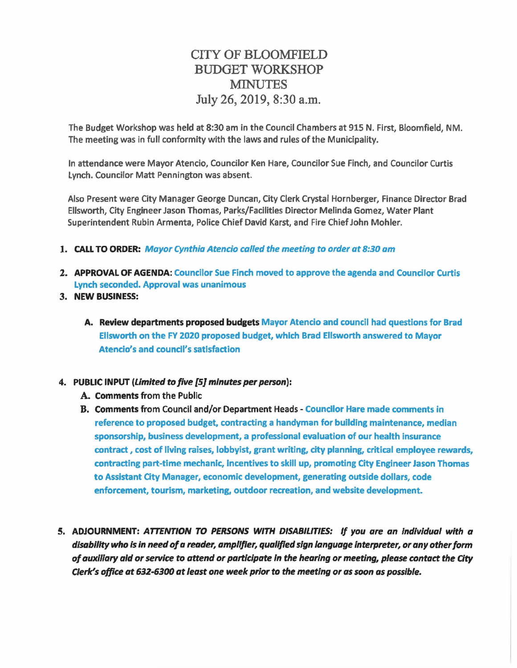## CITY OF BLOOMFIELD BUDGET WORKSHOP **MINUTES** July 26, 2019, 8:30 a.m.

The Budget Workshop was held at 8:30 am in the Council Chambers at 915 N. First, Bloomfield, NM. The meeting was in full conformity with the laws and rules of the Municipality.

In attendance were Mayor Atencio, Councilor Ken Hare, Councilor Sue Finch, and Councilor Curtis Lynch. Councilor Matt Pennington was absent.

Also Present were City Manager George Duncan, City Clerk Crystal Hornberger, Finance Director Brad Ellsworth, City Engineer Jason Thomas, Parks/Facilities Director Melinda Gomez, Water Plant Superintendent Rubin Armenta, Police Chief David Karst, and Fire Chief John Mohler.

- 1. CALL TO ORDER: Mayor Cynthia Atencio called the meeting to order at 8:30 am
- 2. APPROVAL OF AGENDA: Councilor Sue Finch moved to approve the agenda and Councilor Curtis Lynch seconded. Approval was unanimous
- 3. NEW BUSINESS:
	- A. Review departments proposed budgets Mayor Atencio and council had questions for Brad Ellsworth on the FY 2020 proposed budget, which Brad Ellsworth answered to Mayor Atencio's and council's satisfaction

## 4. PUBLIC INPUT (Limited to five {5] minutes per person):

- A. Comments from the Public
- B. Comments from Council and/or Department Heads Councilor Hare made comments in reference to proposed budget, contracting a handyman for building maintenance, median sponsorship, business development, a professional evaluation of our health insurance contract , cost of living raises, lobbyist, grant writing, city planning, critical employee rewards, contracting part-time mechanic, Incentives to skill up, promoting City Engineer Jason Thomas to Assistant City Manager, economic development, generating outside dollars, code enforcement, tourism, marketing, outdoor recreation, and website development.
- S. ADJOURNMENT: ATTENTION TO PERSONS WITH DISABILITIES: If you are an individual with a disability who is in need of a reader, amplifier, qualified sign language interpreter, or any other form of auxiliary aid or service to attend or participate In the hearing or meeting, please contact the City Clerk's office at 632-6300 at least one week prior to the meeting or as soon as possible.